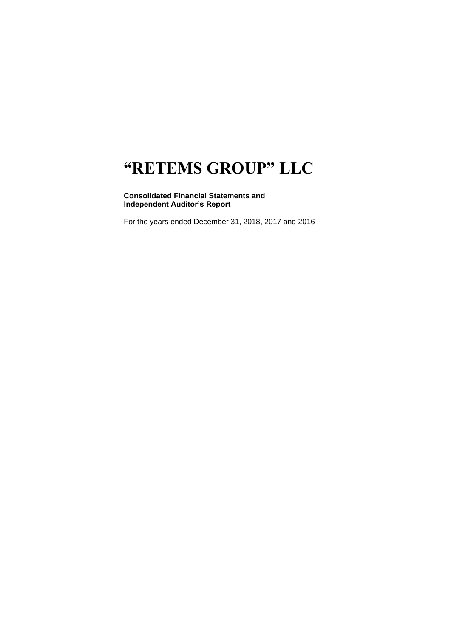**Consolidated Financial Statements and Independent Auditor's Report**

For the years ended December 31, 2018, 2017 and 2016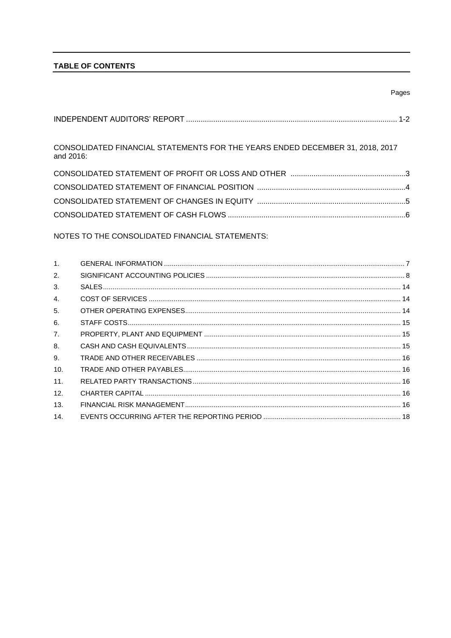### **TABLE OF CONTENTS**

| CONSOLIDATED FINANCIAL STATEMENTS FOR THE YEARS ENDED DECEMBER 31, 2018, 2017<br>and 2016: |  |
|--------------------------------------------------------------------------------------------|--|
|                                                                                            |  |
| CONICOLIDATED CTATEMENT OF FINIANCIAL DOCITION                                             |  |

| CONSOLIDATED STATEMENT OF CASH FLOWS ………………………………………………………………………………………6 |  |
|-------------------------------------------------------------------------|--|

NOTES TO THE CONSOLIDATED FINANCIAL STATEMENTS:

| 1 <sup>1</sup>  |  |
|-----------------|--|
| 2.              |  |
| 3.              |  |
| $\mathbf{4}$ .  |  |
| 5.              |  |
| 6.              |  |
| 7 <sub>1</sub>  |  |
| 8.              |  |
| 9.              |  |
| 10 <sub>1</sub> |  |
| 11.             |  |
| 12.             |  |
| 13.             |  |
| 14.             |  |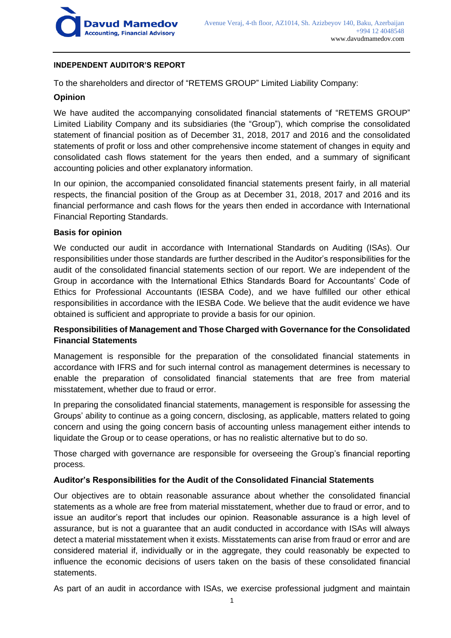

### **INDEPENDENT AUDITOR'S REPORT**

To the shareholders and director of "RETEMS GROUP" Limited Liability Company:

### **Opinion**

We have audited the accompanying consolidated financial statements of "RETEMS GROUP" Limited Liability Company and its subsidiaries (the "Group"), which comprise the consolidated statement of financial position as of December 31, 2018, 2017 and 2016 and the consolidated statements of profit or loss and other comprehensive income statement of changes in equity and consolidated cash flows statement for the years then ended, and a summary of significant accounting policies and other explanatory information.

In our opinion, the accompanied consolidated financial statements present fairly, in all material respects, the financial position of the Group as at December 31, 2018, 2017 and 2016 and its financial performance and cash flows for the years then ended in accordance with International Financial Reporting Standards.

### **Basis for opinion**

We conducted our audit in accordance with International Standards on Auditing (ISAs). Our responsibilities under those standards are further described in the Auditor's responsibilities for the audit of the consolidated financial statements section of our report. We are independent of the Group in accordance with the International Ethics Standards Board for Accountants' Code of Ethics for Professional Accountants (IESBA Code), and we have fulfilled our other ethical responsibilities in accordance with the IESBA Code. We believe that the audit evidence we have obtained is sufficient and appropriate to provide a basis for our opinion.

# **Responsibilities of Management and Those Charged with Governance for the Consolidated Financial Statements**

Management is responsible for the preparation of the consolidated financial statements in accordance with IFRS and for such internal control as management determines is necessary to enable the preparation of consolidated financial statements that are free from material misstatement, whether due to fraud or error.

In preparing the consolidated financial statements, management is responsible for assessing the Groups' ability to continue as a going concern, disclosing, as applicable, matters related to going concern and using the going concern basis of accounting unless management either intends to liquidate the Group or to cease operations, or has no realistic alternative but to do so.

Those charged with governance are responsible for overseeing the Group's financial reporting process.

### **Auditor's Responsibilities for the Audit of the Consolidated Financial Statements**

Our objectives are to obtain reasonable assurance about whether the consolidated financial statements as a whole are free from material misstatement, whether due to fraud or error, and to issue an auditor's report that includes our opinion. Reasonable assurance is a high level of assurance, but is not a guarantee that an audit conducted in accordance with ISAs will always detect a material misstatement when it exists. Misstatements can arise from fraud or error and are considered material if, individually or in the aggregate, they could reasonably be expected to influence the economic decisions of users taken on the basis of these consolidated financial statements.

As part of an audit in accordance with ISAs, we exercise professional judgment and maintain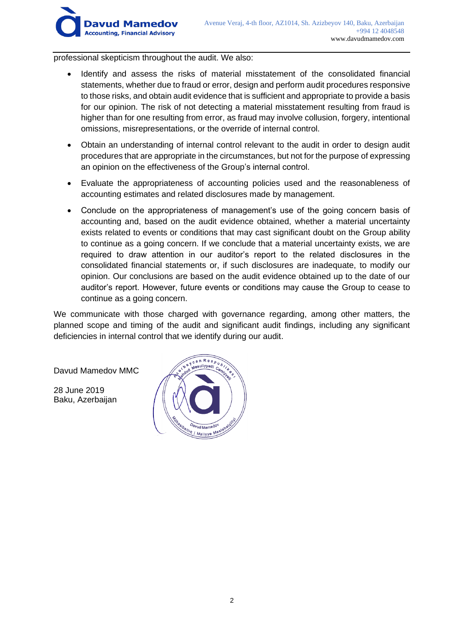

professional skepticism throughout the audit. We also:

- Identify and assess the risks of material misstatement of the consolidated financial statements, whether due to fraud or error, design and perform audit procedures responsive to those risks, and obtain audit evidence that is sufficient and appropriate to provide a basis for our opinion. The risk of not detecting a material misstatement resulting from fraud is higher than for one resulting from error, as fraud may involve collusion, forgery, intentional omissions, misrepresentations, or the override of internal control.
- Obtain an understanding of internal control relevant to the audit in order to design audit procedures that are appropriate in the circumstances, but not for the purpose of expressing an opinion on the effectiveness of the Group's internal control.
- Evaluate the appropriateness of accounting policies used and the reasonableness of accounting estimates and related disclosures made by management.
- Conclude on the appropriateness of management's use of the going concern basis of accounting and, based on the audit evidence obtained, whether a material uncertainty exists related to events or conditions that may cast significant doubt on the Group ability to continue as a going concern. If we conclude that a material uncertainty exists, we are required to draw attention in our auditor's report to the related disclosures in the consolidated financial statements or, if such disclosures are inadequate, to modify our opinion. Our conclusions are based on the audit evidence obtained up to the date of our auditor's report. However, future events or conditions may cause the Group to cease to continue as a going concern.

We communicate with those charged with governance regarding, among other matters, the planned scope and timing of the audit and significant audit findings, including any significant deficiencies in internal control that we identify during our audit.

Davud Mamedov MMC

28 June 2019 Baku, Azerbaijan

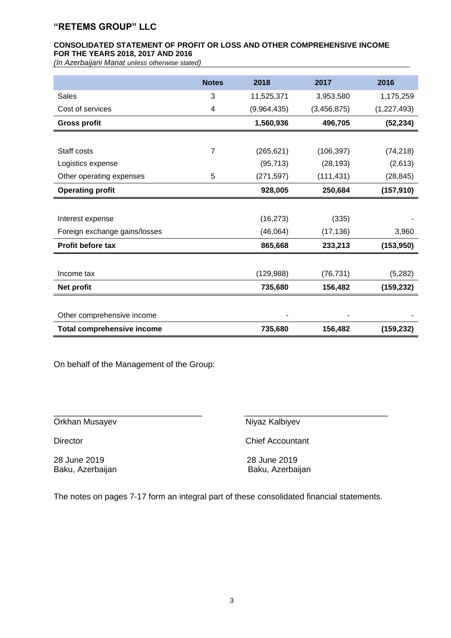#### **CONSOLIDATED STATEMENT OF PROFIT OR LOSS AND OTHER COMPREHENSIVE INCOME FOR THE YEARS 2018, 2017 AND 2016**

*(In Azerbaijani Manat unless otherwise stated)*

|                                   | <b>Notes</b> | 2018        | 2017        | 2016          |
|-----------------------------------|--------------|-------------|-------------|---------------|
| Sales                             | 3            | 11,525,371  | 3,953,580   | 1,175,259     |
| Cost of services                  | 4            | (9,964,435) | (3,456,875) | (1, 227, 493) |
| <b>Gross profit</b>               |              | 1,560,936   | 496,705     | (52, 234)     |
|                                   |              |             |             |               |
| Staff costs                       | 7            | (265, 621)  | (106, 397)  | (74, 218)     |
| Logistics expense                 |              | (95, 713)   | (28, 193)   | (2,613)       |
| Other operating expenses          | 5            | (271, 597)  | (111, 431)  | (28, 845)     |
| <b>Operating profit</b>           |              | 928,005     | 250,684     | (157, 910)    |
|                                   |              |             |             |               |
| Interest expense                  |              | (16, 273)   | (335)       |               |
| Foreign exchange gains/losses     |              | (46,064)    | (17, 136)   | 3,960         |
| Profit before tax                 |              | 865,668     | 233,213     | (153,950)     |
|                                   |              |             |             |               |
| Income tax                        |              | (129, 988)  | (76, 731)   | (5,282)       |
| Net profit                        |              | 735,680     | 156,482     | (159, 232)    |
| Other comprehensive income        |              |             |             |               |
| <b>Total comprehensive income</b> |              | 735,680     | 156,482     | (159, 232)    |

On behalf of the Management of the Group:

\_\_\_\_\_\_\_\_\_\_\_\_\_\_\_\_\_\_\_\_\_\_\_\_\_\_\_\_\_\_\_\_ \_\_\_\_\_\_\_\_\_\_\_\_\_\_\_\_\_\_\_\_\_\_\_\_\_\_\_\_\_\_\_ Orkhan Musayev Niyaz Kalbiyev

28 June 2019 28 June 2019

Director **Chief Accountant** 

Baku, Azerbaijan

The notes on pages 7-17 form an integral part of these consolidated financial statements.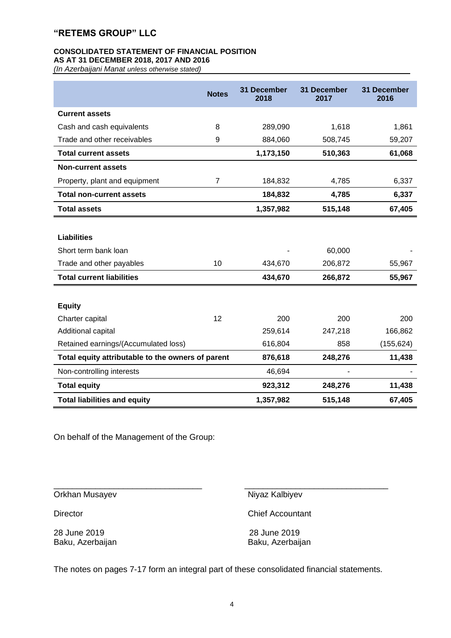# **CONSOLIDATED STATEMENT OF FINANCIAL POSITION**

**AS AT 31 DECEMBER 2018, 2017 AND 2016** *(In Azerbaijani Manat unless otherwise stated)*

|                                                   | <b>Notes</b> | 31 December<br>2018 | 31 December<br>2017 | 31 December<br>2016 |
|---------------------------------------------------|--------------|---------------------|---------------------|---------------------|
| <b>Current assets</b>                             |              |                     |                     |                     |
| Cash and cash equivalents                         | 8            | 289,090             | 1,618               | 1,861               |
| Trade and other receivables                       | 9            | 884,060             | 508,745             | 59,207              |
| <b>Total current assets</b>                       |              | 1,173,150           | 510,363             | 61,068              |
| <b>Non-current assets</b>                         |              |                     |                     |                     |
| Property, plant and equipment                     | 7            | 184,832             | 4,785               | 6,337               |
| <b>Total non-current assets</b>                   |              | 184,832             | 4,785               | 6,337               |
| <b>Total assets</b>                               |              | 1,357,982           | 515,148             | 67,405              |
|                                                   |              |                     |                     |                     |
| <b>Liabilities</b>                                |              |                     |                     |                     |
| Short term bank loan                              |              |                     | 60,000              |                     |
| Trade and other payables                          | 10           | 434,670             | 206,872             | 55,967              |
| <b>Total current liabilities</b>                  |              | 434,670             | 266,872             | 55,967              |
|                                                   |              |                     |                     |                     |
| <b>Equity</b>                                     |              |                     |                     |                     |
| Charter capital                                   | 12           | 200                 | 200                 | 200                 |
| Additional capital                                |              | 259,614             | 247,218             | 166,862             |
| Retained earnings/(Accumulated loss)              |              | 616,804             | 858                 | (155, 624)          |
| Total equity attributable to the owners of parent |              | 876,618             | 248,276             | 11,438              |
| Non-controlling interests                         |              | 46,694              |                     |                     |
| <b>Total equity</b>                               |              | 923,312             | 248,276             | 11,438              |
| <b>Total liabilities and equity</b>               |              | 1,357,982           | 515,148             | 67,405              |

On behalf of the Management of the Group:

\_\_\_\_\_\_\_\_\_\_\_\_\_\_\_\_\_\_\_\_\_\_\_\_\_\_\_\_\_\_\_\_ \_\_\_\_\_\_\_\_\_\_\_\_\_\_\_\_\_\_\_\_\_\_\_\_\_\_\_\_\_\_\_ Orkhan Musayev Niyaz Kalbiyev

28 June 2019 28 June 2019

Director Chief Accountant

Baku, Azerbaijan Baku, Azerbaijan

The notes on pages 7-17 form an integral part of these consolidated financial statements.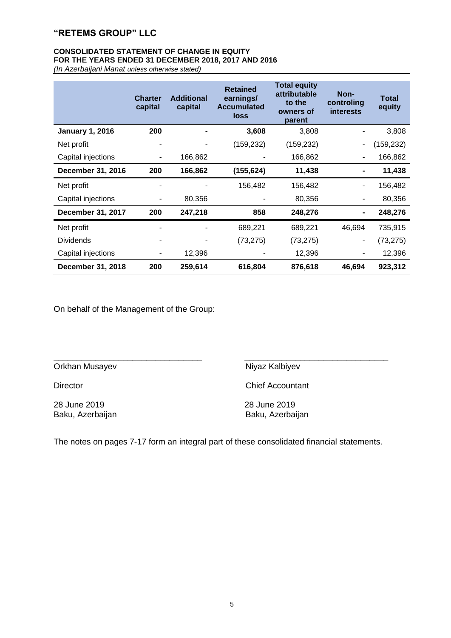### **CONSOLIDATED STATEMENT OF CHANGE IN EQUITY FOR THE YEARS ENDED 31 DECEMBER 2018, 2017 AND 2016**

*(In Azerbaijani Manat unless otherwise stated)*

|                          | <b>Charter</b><br>capital | <b>Additional</b><br>capital | <b>Retained</b><br>earnings/<br><b>Accumulated</b><br><b>loss</b> | <b>Total equity</b><br>attributable<br>to the<br>owners of<br>parent | Non-<br>controling<br><b>interests</b> | Total<br>equity |
|--------------------------|---------------------------|------------------------------|-------------------------------------------------------------------|----------------------------------------------------------------------|----------------------------------------|-----------------|
| <b>January 1, 2016</b>   | 200                       |                              | 3,608                                                             | 3,808                                                                |                                        | 3,808           |
| Net profit               |                           |                              | (159, 232)                                                        | (159, 232)                                                           |                                        | (159,232)       |
| Capital injections       |                           | 166,862                      |                                                                   | 166,862                                                              |                                        | 166,862         |
| <b>December 31, 2016</b> | 200                       | 166,862                      | (155, 624)                                                        | 11,438                                                               |                                        | 11,438          |
| Net profit               |                           |                              | 156,482                                                           | 156,482                                                              |                                        | 156,482         |
| Capital injections       |                           | 80,356                       |                                                                   | 80,356                                                               |                                        | 80,356          |
| <b>December 31, 2017</b> | 200                       | 247,218                      | 858                                                               | 248,276                                                              |                                        | 248,276         |
| Net profit               |                           |                              | 689,221                                                           | 689,221                                                              | 46,694                                 | 735,915         |
| <b>Dividends</b>         |                           |                              | (73, 275)                                                         | (73, 275)                                                            |                                        | (73, 275)       |
| Capital injections       |                           | 12,396                       |                                                                   | 12,396                                                               |                                        | 12,396          |
| December 31, 2018        | 200                       | 259,614                      | 616,804                                                           | 876,618                                                              | 46,694                                 | 923,312         |

On behalf of the Management of the Group:

\_\_\_\_\_\_\_\_\_\_\_\_\_\_\_\_\_\_\_\_\_\_\_\_\_\_\_\_\_\_\_\_ \_\_\_\_\_\_\_\_\_\_\_\_\_\_\_\_\_\_\_\_\_\_\_\_\_\_\_\_\_\_\_ Orkhan Musayev Niyaz Kalbiyev

28 June 2019 28 June 2019

Director Chief Accountant

Baku, Azerbaijan **Baku, Azerbaijan** Baku, Azerbaijan

The notes on pages 7-17 form an integral part of these consolidated financial statements.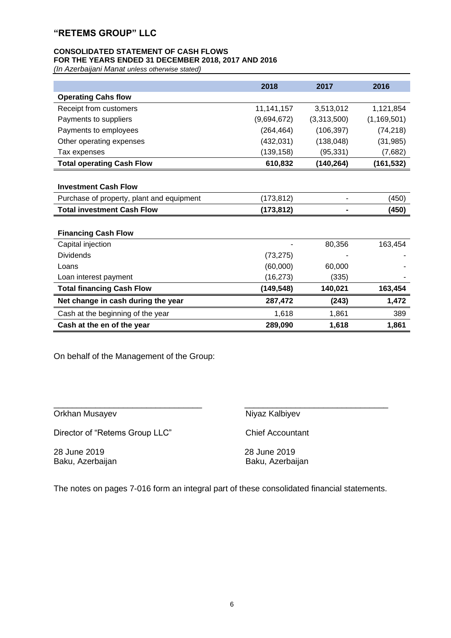# **CONSOLIDATED STATEMENT OF CASH FLOWS**

# **FOR THE YEARS ENDED 31 DECEMBER 2018, 2017 AND 2016**

*(In Azerbaijani Manat unless otherwise stated)*

|                                           | 2018        | 2017        | 2016          |
|-------------------------------------------|-------------|-------------|---------------|
| <b>Operating Cahs flow</b>                |             |             |               |
| Receipt from customers                    | 11,141,157  | 3,513,012   | 1,121,854     |
| Payments to suppliers                     | (9,694,672) | (3,313,500) | (1, 169, 501) |
| Payments to employees                     | (264, 464)  | (106, 397)  | (74, 218)     |
| Other operating expenses                  | (432, 031)  | (138, 048)  | (31, 985)     |
| Tax expenses                              | (139, 158)  | (95, 331)   | (7,682)       |
| <b>Total operating Cash Flow</b>          | 610,832     | (140, 264)  | (161, 532)    |
|                                           |             |             |               |
| <b>Investment Cash Flow</b>               |             |             |               |
| Purchase of property, plant and equipment | (173, 812)  |             | (450)         |
| <b>Total investment Cash Flow</b>         | (173, 812)  |             | (450)         |
|                                           |             |             |               |
| <b>Financing Cash Flow</b>                |             |             |               |
| Capital injection                         |             | 80,356      | 163,454       |
| <b>Dividends</b>                          | (73, 275)   |             |               |
| Loans                                     | (60,000)    | 60,000      |               |
| Loan interest payment                     | (16, 273)   | (335)       |               |
| <b>Total financing Cash Flow</b>          | (149, 548)  | 140,021     | 163,454       |
| Net change in cash during the year        | 287,472     | (243)       | 1,472         |
| Cash at the beginning of the year         | 1,618       | 1,861       | 389           |
| Cash at the en of the year                | 289,090     | 1,618       | 1,861         |

On behalf of the Management of the Group:

\_\_\_\_\_\_\_\_\_\_\_\_\_\_\_\_\_\_\_\_\_\_\_\_\_\_\_\_\_\_\_\_ \_\_\_\_\_\_\_\_\_\_\_\_\_\_\_\_\_\_\_\_\_\_\_\_\_\_\_\_\_\_\_ Orkhan Musayev Niyaz Kalbiyev

Director of "Retems Group LLC" Chief Accountant

Baku, Azerbaijan

28 June 2019 28 June 2019

The notes on pages 7-016 form an integral part of these consolidated financial statements.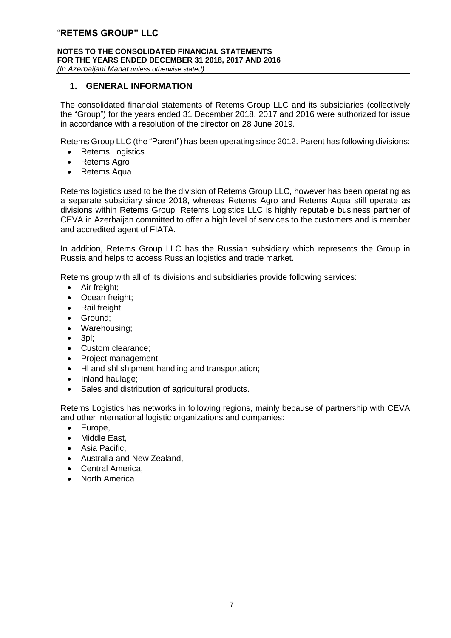## <span id="page-8-0"></span>**1. GENERAL INFORMATION**

The consolidated financial statements of Retems Group LLC and its subsidiaries (collectively the "Group") for the years ended 31 December 2018, 2017 and 2016 were authorized for issue in accordance with a resolution of the director on 28 June 2019.

Retems Group LLC (the "Parent") has been operating since 2012. Parent has following divisions:

- Retems Logistics
- Retems Agro
- Retems Aqua

Retems logistics used to be the division of Retems Group LLC, however has been operating as a separate subsidiary since 2018, whereas Retems Agro and Retems Aqua still operate as divisions within Retems Group. Retems Logistics LLC is highly reputable business partner of CEVA in Azerbaijan committed to offer a high level of services to the customers and is member and accredited agent of FIATA.

In addition, Retems Group LLC has the Russian subsidiary which represents the Group in Russia and helps to access Russian logistics and trade market.

Retems group with all of its divisions and subsidiaries provide following services:

- Air freight:
- Ocean freight:
- Rail freight;
- Ground;
- Warehousing;
- $3$ pl;
- Custom clearance;
- Project management;
- Hl and shl shipment handling and transportation;
- Inland haulage:
- Sales and distribution of agricultural products.

Retems Logistics has networks in following regions, mainly because of partnership with CEVA and other international logistic organizations and companies:

- Europe,
- Middle East.
- Asia Pacific,
- Australia and New Zealand,
- Central America.
- North America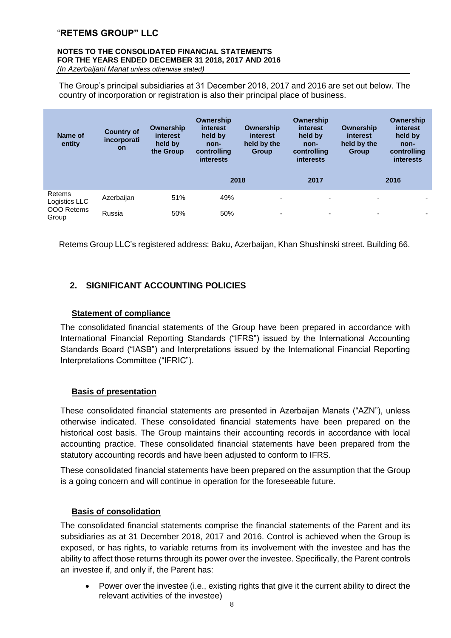### **NOTES TO THE CONSOLIDATED FINANCIAL STATEMENTS FOR THE YEARS ENDED DECEMBER 31 2018, 2017 AND 2016**

*(In Azerbaijani Manat unless otherwise stated)*

The Group's principal subsidiaries at 31 December 2018, 2017 and 2016 are set out below. The country of incorporation or registration is also their principal place of business.

| Name of<br>entity          | <b>Country of</b><br>incorporati<br><b>on</b> | Ownership<br>interest<br>held by<br>the Group | Ownership<br>interest<br>held by<br>non-<br>controlling<br>interests | Ownership<br>interest<br>held by the<br><b>Group</b><br>2018 | <b>Ownership</b><br>interest<br>held by<br>non-<br>controlling<br>interests<br>2017 | Ownership<br>interest<br>held by the<br><b>Group</b> | Ownership<br>interest<br>held by<br>non-<br>controlling<br><b>interests</b><br>2016 |    |
|----------------------------|-----------------------------------------------|-----------------------------------------------|----------------------------------------------------------------------|--------------------------------------------------------------|-------------------------------------------------------------------------------------|------------------------------------------------------|-------------------------------------------------------------------------------------|----|
| Retems<br>Logistics LLC    | Azerbaijan                                    | 51%                                           | 49%                                                                  |                                                              | $\overline{\phantom{a}}$                                                            | -                                                    |                                                                                     | ۰. |
| <b>OOO Retems</b><br>Group | Russia                                        | 50%                                           | 50%                                                                  | ۰                                                            | ٠                                                                                   | ۰                                                    |                                                                                     | ۰  |

Retems Group LLC's registered address: Baku, Azerbaijan, Khan Shushinski street. Building 66.

# <span id="page-9-0"></span>**2. SIGNIFICANT ACCOUNTING POLICIES**

### **Statement of compliance**

The consolidated financial statements of the Group have been prepared in accordance with International Financial Reporting Standards ("IFRS") issued by the International Accounting Standards Board ("IASB") and Interpretations issued by the International Financial Reporting Interpretations Committee ("IFRIC").

### **Basis of presentation**

These consolidated financial statements are presented in Azerbaijan Manats ("AZN"), unless otherwise indicated. These consolidated financial statements have been prepared on the historical cost basis. The Group maintains their accounting records in accordance with local accounting practice. These consolidated financial statements have been prepared from the statutory accounting records and have been adjusted to conform to IFRS.

These consolidated financial statements have been prepared on the assumption that the Group is a going concern and will continue in operation for the foreseeable future.

### **Basis of consolidation**

The consolidated financial statements comprise the financial statements of the Parent and its subsidiaries as at 31 December 2018, 2017 and 2016. Control is achieved when the Group is exposed, or has rights, to variable returns from its involvement with the investee and has the ability to affect those returns through its power over the investee. Specifically, the Parent controls an investee if, and only if, the Parent has:

• Power over the investee (i.e., existing rights that give it the current ability to direct the relevant activities of the investee)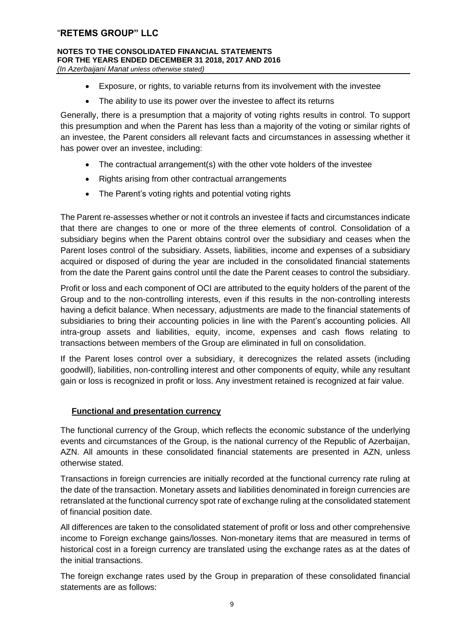- Exposure, or rights, to variable returns from its involvement with the investee
- The ability to use its power over the investee to affect its returns

Generally, there is a presumption that a majority of voting rights results in control. To support this presumption and when the Parent has less than a majority of the voting or similar rights of an investee, the Parent considers all relevant facts and circumstances in assessing whether it has power over an investee, including:

- The contractual arrangement(s) with the other vote holders of the investee
- Rights arising from other contractual arrangements
- The Parent's voting rights and potential voting rights

The Parent re-assesses whether or not it controls an investee if facts and circumstances indicate that there are changes to one or more of the three elements of control. Consolidation of a subsidiary begins when the Parent obtains control over the subsidiary and ceases when the Parent loses control of the subsidiary. Assets, liabilities, income and expenses of a subsidiary acquired or disposed of during the year are included in the consolidated financial statements from the date the Parent gains control until the date the Parent ceases to control the subsidiary.

Profit or loss and each component of OCI are attributed to the equity holders of the parent of the Group and to the non-controlling interests, even if this results in the non-controlling interests having a deficit balance. When necessary, adjustments are made to the financial statements of subsidiaries to bring their accounting policies in line with the Parent's accounting policies. All intra-group assets and liabilities, equity, income, expenses and cash flows relating to transactions between members of the Group are eliminated in full on consolidation.

If the Parent loses control over a subsidiary, it derecognizes the related assets (including goodwill), liabilities, non-controlling interest and other components of equity, while any resultant gain or loss is recognized in profit or loss. Any investment retained is recognized at fair value.

# **Functional and presentation currency**

The functional currency of the Group, which reflects the economic substance of the underlying events and circumstances of the Group, is the national currency of the Republic of Azerbaijan, AZN. All amounts in these consolidated financial statements are presented in AZN, unless otherwise stated.

Transactions in foreign currencies are initially recorded at the functional currency rate ruling at the date of the transaction. Monetary assets and liabilities denominated in foreign currencies are retranslated at the functional currency spot rate of exchange ruling at the consolidated statement of financial position date.

All differences are taken to the consolidated statement of profit or loss and other comprehensive income to Foreign exchange gains/losses. Non-monetary items that are measured in terms of historical cost in a foreign currency are translated using the exchange rates as at the dates of the initial transactions.

The foreign exchange rates used by the Group in preparation of these consolidated financial statements are as follows: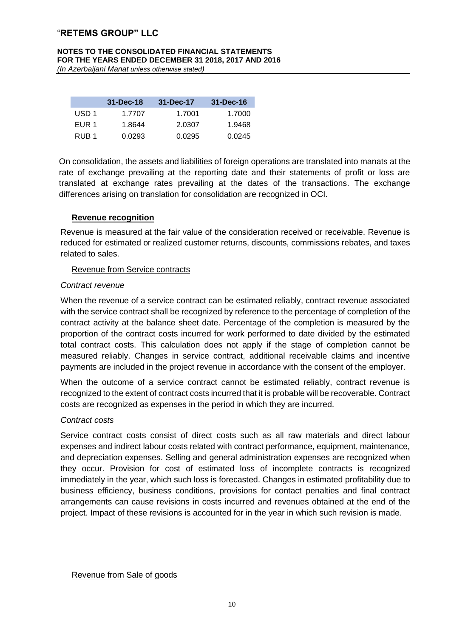#### **NOTES TO THE CONSOLIDATED FINANCIAL STATEMENTS FOR THE YEARS ENDED DECEMBER 31 2018, 2017 AND 2016** *(In Azerbaijani Manat unless otherwise stated)*

|       | 31-Dec-18 | 31-Dec-17 | $31 - Dec - 16$ |
|-------|-----------|-----------|-----------------|
| USD 1 | 1.7707    | 1.7001    | 1.7000          |
| EUR 1 | 1.8644    | 2.0307    | 1.9468          |
| RUB 1 | 0.0293    | 0.0295    | 0.0245          |

On consolidation, the assets and liabilities of foreign operations are translated into manats at the rate of exchange prevailing at the reporting date and their statements of profit or loss are translated at exchange rates prevailing at the dates of the transactions. The exchange differences arising on translation for consolidation are recognized in OCI.

### **Revenue recognition**

Revenue is measured at the fair value of the consideration received or receivable. Revenue is reduced for estimated or realized customer returns, discounts, commissions rebates, and taxes related to sales.

### Revenue from Service contracts

### *Contract revenue*

When the revenue of a service contract can be estimated reliably, contract revenue associated with the service contract shall be recognized by reference to the percentage of completion of the contract activity at the balance sheet date. Percentage of the completion is measured by the proportion of the contract costs incurred for work performed to date divided by the estimated total contract costs. This calculation does not apply if the stage of completion cannot be measured reliably. Changes in service contract, additional receivable claims and incentive payments are included in the project revenue in accordance with the consent of the employer.

When the outcome of a service contract cannot be estimated reliably, contract revenue is recognized to the extent of contract costs incurred that it is probable will be recoverable. Contract costs are recognized as expenses in the period in which they are incurred.

### *Contract costs*

Service contract costs consist of direct costs such as all raw materials and direct labour expenses and indirect labour costs related with contract performance, equipment, maintenance, and depreciation expenses. Selling and general administration expenses are recognized when they occur. Provision for cost of estimated loss of incomplete contracts is recognized immediately in the year, which such loss is forecasted. Changes in estimated profitability due to business efficiency, business conditions, provisions for contact penalties and final contract arrangements can cause revisions in costs incurred and revenues obtained at the end of the project. Impact of these revisions is accounted for in the year in which such revision is made.

#### Revenue from Sale of goods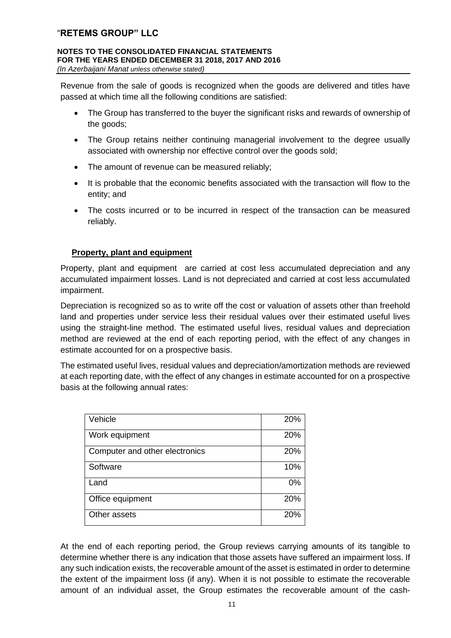#### **NOTES TO THE CONSOLIDATED FINANCIAL STATEMENTS FOR THE YEARS ENDED DECEMBER 31 2018, 2017 AND 2016** *(In Azerbaijani Manat unless otherwise stated)*

Revenue from the sale of goods is recognized when the goods are delivered and titles have passed at which time all the following conditions are satisfied:

- The Group has transferred to the buyer the significant risks and rewards of ownership of the goods;
- The Group retains neither continuing managerial involvement to the degree usually associated with ownership nor effective control over the goods sold;
- The amount of revenue can be measured reliably;
- It is probable that the economic benefits associated with the transaction will flow to the entity; and
- The costs incurred or to be incurred in respect of the transaction can be measured reliably.

### **Property, plant and equipment**

Property, plant and equipment are carried at cost less accumulated depreciation and any accumulated impairment losses. Land is not depreciated and carried at cost less accumulated impairment.

Depreciation is recognized so as to write off the cost or valuation of assets other than freehold land and properties under service less their residual values over their estimated useful lives using the straight-line method. The estimated useful lives, residual values and depreciation method are reviewed at the end of each reporting period, with the effect of any changes in estimate accounted for on a prospective basis.

The estimated useful lives, residual values and depreciation/amortization methods are reviewed at each reporting date, with the effect of any changes in estimate accounted for on a prospective basis at the following annual rates:

| Vehicle                        | 20% |
|--------------------------------|-----|
| Work equipment                 | 20% |
| Computer and other electronics | 20% |
| Software                       | 10% |
| Land                           | 0%  |
| Office equipment               | 20% |
| Other assets                   | 20% |
|                                |     |

At the end of each reporting period, the Group reviews carrying amounts of its tangible to determine whether there is any indication that those assets have suffered an impairment loss. If any such indication exists, the recoverable amount of the asset is estimated in order to determine the extent of the impairment loss (if any). When it is not possible to estimate the recoverable amount of an individual asset, the Group estimates the recoverable amount of the cash-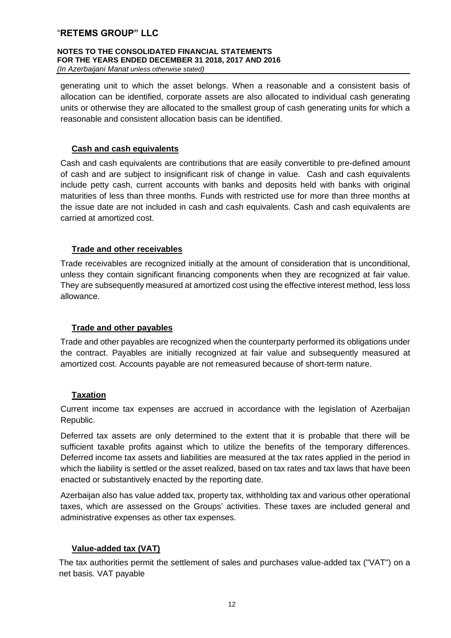#### **NOTES TO THE CONSOLIDATED FINANCIAL STATEMENTS FOR THE YEARS ENDED DECEMBER 31 2018, 2017 AND 2016** *(In Azerbaijani Manat unless otherwise stated)*

generating unit to which the asset belongs. When a reasonable and a consistent basis of allocation can be identified, corporate assets are also allocated to individual cash generating units or otherwise they are allocated to the smallest group of cash generating units for which a reasonable and consistent allocation basis can be identified.

### **Cash and cash equivalents**

Cash and cash equivalents are contributions that are easily convertible to pre-defined amount of cash and are subject to insignificant risk of change in value. Cash and cash equivalents include petty cash, current accounts with banks and deposits held with banks with original maturities of less than three months. Funds with restricted use for more than three months at the issue date are not included in cash and cash equivalents. Cash and cash equivalents are carried at amortized cost.

### **Trade and other receivables**

Trade receivables are recognized initially at the amount of consideration that is unconditional, unless they contain significant financing components when they are recognized at fair value. They are subsequently measured at amortized cost using the effective interest method, less loss allowance.

### **Trade and other payables**

Trade and other payables are recognized when the counterparty performed its obligations under the contract. Payables are initially recognized at fair value and subsequently measured at amortized cost. Accounts payable are not remeasured because of short-term nature.

# **Taxation**

Current income tax expenses are accrued in accordance with the legislation of Azerbaijan Republic.

Deferred tax assets are only determined to the extent that it is probable that there will be sufficient taxable profits against which to utilize the benefits of the temporary differences. Deferred income tax assets and liabilities are measured at the tax rates applied in the period in which the liability is settled or the asset realized, based on tax rates and tax laws that have been enacted or substantively enacted by the reporting date.

Azerbaijan also has value added tax, property tax, withholding tax and various other operational taxes, which are assessed on the Groups' activities. These taxes are included general and administrative expenses as other tax expenses.

### **Value-added tax (VAT)**

The tax authorities permit the settlement of sales and purchases value-added tax ("VAT") on a net basis. VAT payable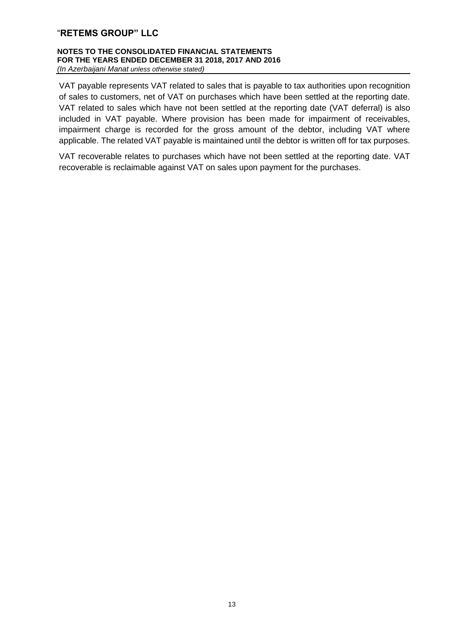#### **NOTES TO THE CONSOLIDATED FINANCIAL STATEMENTS FOR THE YEARS ENDED DECEMBER 31 2018, 2017 AND 2016** *(In Azerbaijani Manat unless otherwise stated)*

VAT payable represents VAT related to sales that is payable to tax authorities upon recognition of sales to customers, net of VAT on purchases which have been settled at the reporting date. VAT related to sales which have not been settled at the reporting date (VAT deferral) is also included in VAT payable. Where provision has been made for impairment of receivables, impairment charge is recorded for the gross amount of the debtor, including VAT where applicable. The related VAT payable is maintained until the debtor is written off for tax purposes.

VAT recoverable relates to purchases which have not been settled at the reporting date. VAT recoverable is reclaimable against VAT on sales upon payment for the purchases.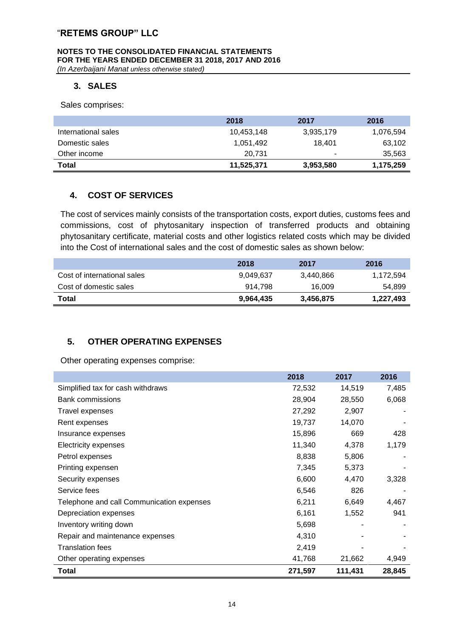### **3. SALES**

<span id="page-15-0"></span>Sales comprises:

|                     | 2018       | 2017      | 2016      |
|---------------------|------------|-----------|-----------|
| International sales | 10,453,148 | 3,935,179 | 1,076,594 |
| Domestic sales      | 1,051,492  | 18.401    | 63,102    |
| Other income        | 20.731     |           | 35,563    |
| Total               | 11,525,371 | 3.953.580 | 1,175,259 |

### <span id="page-15-1"></span>**4. COST OF SERVICES**

The cost of services mainly consists of the transportation costs, export duties, customs fees and commissions, cost of phytosanitary inspection of transferred products and obtaining phytosanitary certificate, material costs and other logistics related costs which may be divided into the Cost of international sales and the cost of domestic sales as shown below:

|                             | 2018      | 2017      | 2016      |
|-----------------------------|-----------|-----------|-----------|
| Cost of international sales | 9.049.637 | 3,440,866 | 1,172,594 |
| Cost of domestic sales      | 914.798   | 16.009    | 54,899    |
| Total                       | 9.964,435 | 3,456,875 | 1,227,493 |

# <span id="page-15-2"></span>**5. OTHER OPERATING EXPENSES**

Other operating expenses comprise:

|                                           | 2018    | 2017    | 2016   |
|-------------------------------------------|---------|---------|--------|
| Simplified tax for cash withdraws         | 72,532  | 14,519  | 7,485  |
| <b>Bank commissions</b>                   | 28,904  | 28,550  | 6,068  |
| Travel expenses                           | 27,292  | 2,907   |        |
| Rent expenses                             | 19,737  | 14,070  |        |
| Insurance expenses                        | 15,896  | 669     | 428    |
| <b>Electricity expenses</b>               | 11,340  | 4,378   | 1,179  |
| Petrol expenses                           | 8,838   | 5,806   |        |
| Printing expensen                         | 7,345   | 5,373   |        |
| Security expenses                         | 6,600   | 4,470   | 3,328  |
| Service fees                              | 6,546   | 826     |        |
| Telephone and call Communication expenses | 6,211   | 6,649   | 4,467  |
| Depreciation expenses                     | 6,161   | 1,552   | 941    |
| Inventory writing down                    | 5,698   |         |        |
| Repair and maintenance expenses           | 4,310   |         |        |
| <b>Translation fees</b>                   | 2,419   |         |        |
| Other operating expenses                  | 41,768  | 21,662  | 4,949  |
| Total                                     | 271,597 | 111,431 | 28,845 |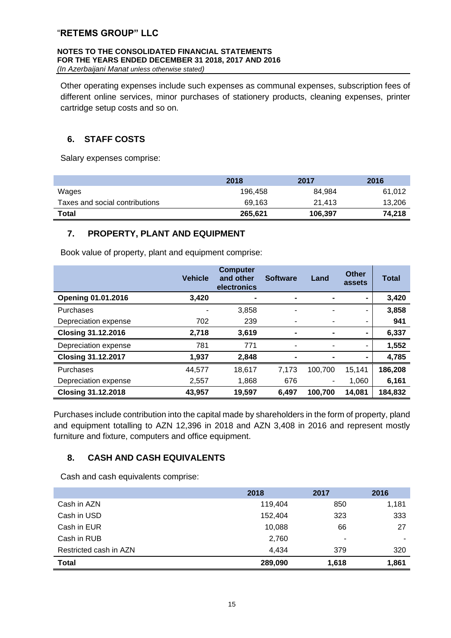#### **NOTES TO THE CONSOLIDATED FINANCIAL STATEMENTS FOR THE YEARS ENDED DECEMBER 31 2018, 2017 AND 2016** *(In Azerbaijani Manat unless otherwise stated)*

Other operating expenses include such expenses as communal expenses, subscription fees of different online services, minor purchases of stationery products, cleaning expenses, printer cartridge setup costs and so on.

# <span id="page-16-0"></span>**6. STAFF COSTS**

Salary expenses comprise:

|                                | 2018    | 2017    | 2016   |
|--------------------------------|---------|---------|--------|
| Wages                          | 196,458 | 84.984  | 61,012 |
| Taxes and social contributions | 69.163  | 21.413  | 13,206 |
| Total                          | 265,621 | 106,397 | 74,218 |

### <span id="page-16-1"></span>**7. PROPERTY, PLANT AND EQUIPMENT**

Book value of property, plant and equipment comprise:

|                           | <b>Vehicle</b> | <b>Computer</b><br>and other<br>electronics | <b>Software</b> | Land                     | Other<br>assets | <b>Total</b> |
|---------------------------|----------------|---------------------------------------------|-----------------|--------------------------|-----------------|--------------|
| <b>Opening 01.01.2016</b> | 3,420          | $\blacksquare$                              |                 | -                        | $\blacksquare$  | 3,420        |
| Purchases                 | -              | 3,858                                       | ٠               | ۰                        | -               | 3,858        |
| Depreciation expense      | 702            | 239                                         | ۰               |                          | ۰               | 941          |
| <b>Closing 31.12.2016</b> | 2,718          | 3,619                                       | $\blacksquare$  | -                        | -               | 6,337        |
| Depreciation expense      | 781            | 771                                         | $\blacksquare$  |                          | -               | 1,552        |
| <b>Closing 31.12.2017</b> | 1,937          | 2,848                                       | $\blacksquare$  | -                        | -               | 4,785        |
| Purchases                 | 44,577         | 18,617                                      | 7,173           | 100,700                  | 15,141          | 186,208      |
| Depreciation expense      | 2,557          | 1,868                                       | 676             | $\overline{\phantom{a}}$ | 1,060           | 6,161        |
| <b>Closing 31.12.2018</b> | 43,957         | 19,597                                      | 6,497           | 100,700                  | 14,081          | 184,832      |

Purchases include contribution into the capital made by shareholders in the form of property, pland and equipment totalling to AZN 12,396 in 2018 and AZN 3,408 in 2016 and represent mostly furniture and fixture, computers and office equipment.

# <span id="page-16-2"></span>**8. CASH AND CASH EQUIVALENTS**

Cash and cash equivalents comprise:

|                        | 2018    | 2017  | 2016  |
|------------------------|---------|-------|-------|
| Cash in AZN            | 119,404 | 850   | 1,181 |
| Cash in USD            | 152,404 | 323   | 333   |
| Cash in EUR            | 10,088  | 66    | 27    |
| Cash in RUB            | 2,760   | ۰     |       |
| Restricted cash in AZN | 4,434   | 379   | 320   |
| <b>Total</b>           | 289,090 | 1,618 | 1,861 |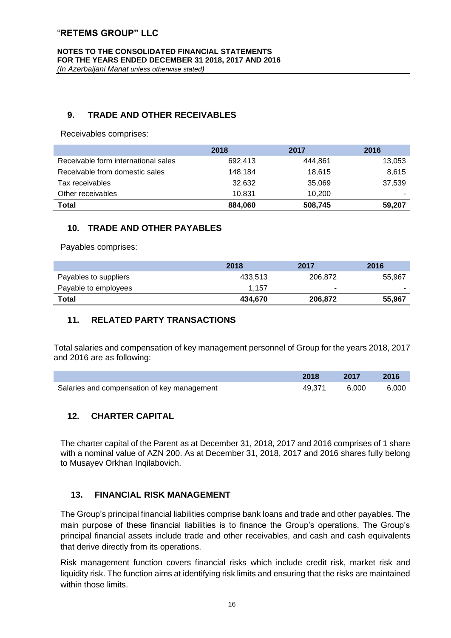# <span id="page-17-0"></span>**9. TRADE AND OTHER RECEIVABLES**

Receivables comprises:

|                                     | 2018    | 2017    | 2016                     |
|-------------------------------------|---------|---------|--------------------------|
| Receivable form international sales | 692,413 | 444.861 | 13,053                   |
| Receivable from domestic sales      | 148,184 | 18,615  | 8,615                    |
| Tax receivables                     | 32,632  | 35,069  | 37,539                   |
| Other receivables                   | 10.831  | 10.200  | $\overline{\phantom{0}}$ |
| Total                               | 884,060 | 508,745 | 59,207                   |

# <span id="page-17-1"></span>**10. TRADE AND OTHER PAYABLES**

Payables comprises:

|                       | 2018    | 2017    | 2016   |
|-----------------------|---------|---------|--------|
| Payables to suppliers | 433,513 | 206,872 | 55,967 |
| Payable to employees  | 1.157   | -       |        |
| Total                 | 434.670 | 206.872 | 55,967 |

# <span id="page-17-2"></span>**11. RELATED PARTY TRANSACTIONS**

Total salaries and compensation of key management personnel of Group for the years 2018, 2017 and 2016 are as following:

|                                             | 2018   | 2017  | 2016  |
|---------------------------------------------|--------|-------|-------|
| Salaries and compensation of key management | 49.371 | 6.000 | 6.000 |

# <span id="page-17-3"></span>**12. CHARTER CAPITAL**

The charter capital of the Parent as at December 31, 2018, 2017 and 2016 comprises of 1 share with a nominal value of AZN 200. As at December 31, 2018, 2017 and 2016 shares fully belong to Musayev Orkhan Inqilabovich.

# <span id="page-17-4"></span>**13. FINANCIAL RISK MANAGEMENT**

The Group's principal financial liabilities comprise bank loans and trade and other payables. The main purpose of these financial liabilities is to finance the Group's operations. The Group's principal financial assets include trade and other receivables, and cash and cash equivalents that derive directly from its operations.

Risk management function covers financial risks which include credit risk, market risk and liquidity risk. The function aims at identifying risk limits and ensuring that the risks are maintained within those limits.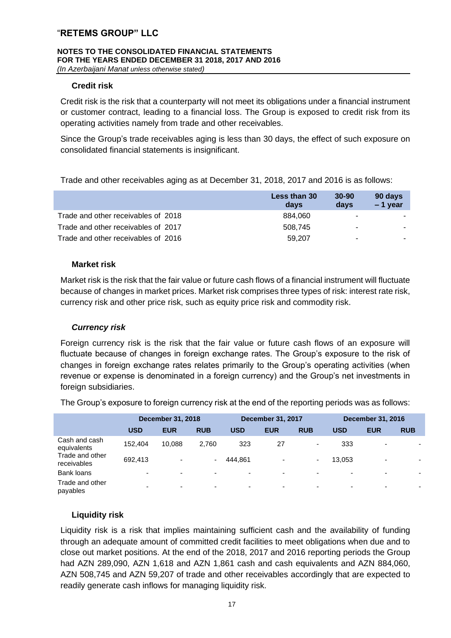## **Credit risk**

Credit risk is the risk that a counterparty will not meet its obligations under a financial instrument or customer contract, leading to a financial loss. The Group is exposed to credit risk from its operating activities namely from trade and other receivables.

Since the Group's trade receivables aging is less than 30 days, the effect of such exposure on consolidated financial statements is insignificant.

Trade and other receivables aging as at December 31, 2018, 2017 and 2016 is as follows:

|                                     | <b>Less than 30</b><br>days | $30 - 90$<br>days | 90 days<br>- 1 year      |
|-------------------------------------|-----------------------------|-------------------|--------------------------|
| Trade and other receivables of 2018 | 884.060                     | ٠                 |                          |
| Trade and other receivables of 2017 | 508.745                     | ۰                 |                          |
| Trade and other receivables of 2016 | 59.207                      | ۰                 | $\overline{\phantom{0}}$ |

### **Market risk**

Market risk is the risk that the fair value or future cash flows of a financial instrument will fluctuate because of changes in market prices. Market risk comprises three types of risk: interest rate risk, currency risk and other price risk, such as equity price risk and commodity risk.

### *Currency risk*

Foreign currency risk is the risk that the fair value or future cash flows of an exposure will fluctuate because of changes in foreign exchange rates. The Group's exposure to the risk of changes in foreign exchange rates relates primarily to the Group's operating activities (when revenue or expense is denominated in a foreign currency) and the Group's net investments in foreign subsidiaries.

The Group's exposure to foreign currency risk at the end of the reporting periods was as follows:

|                                | <b>December 31, 2018</b> |                          |                          | <b>December 31, 2017</b> |                          |                          | <b>December 31, 2016</b> |            |            |
|--------------------------------|--------------------------|--------------------------|--------------------------|--------------------------|--------------------------|--------------------------|--------------------------|------------|------------|
|                                | <b>USD</b>               | <b>EUR</b>               | <b>RUB</b>               | <b>USD</b>               | <b>EUR</b>               | <b>RUB</b>               | <b>USD</b>               | <b>EUR</b> | <b>RUB</b> |
| Cash and cash<br>equivalents   | 152.404                  | 10.088                   | 2.760                    | 323                      | 27                       | ٠                        | 333                      |            |            |
| Trade and other<br>receivables | 692,413                  | $\overline{\phantom{0}}$ | $\blacksquare$           | 444.861                  | ۰                        | $\overline{\phantom{0}}$ | 13,053                   |            |            |
| Bank loans                     | $\overline{\phantom{0}}$ | $\overline{\phantom{0}}$ | $\overline{\phantom{a}}$ | $\overline{a}$           | $\overline{\phantom{0}}$ | $\overline{\phantom{0}}$ | -                        |            |            |
| Trade and other<br>payables    | $\overline{\phantom{a}}$ | ٠                        | ٠                        | $\overline{\phantom{a}}$ | ۰                        | $\overline{\phantom{0}}$ | $\overline{\phantom{0}}$ |            |            |

# **Liquidity risk**

Liquidity risk is a risk that implies maintaining sufficient cash and the availability of funding through an adequate amount of committed credit facilities to meet obligations when due and to close out market positions. At the end of the 2018, 2017 and 2016 reporting periods the Group had AZN 289,090, AZN 1,618 and AZN 1,861 cash and cash equivalents and AZN 884,060, AZN 508,745 and AZN 59,207 of trade and other receivables accordingly that are expected to readily generate cash inflows for managing liquidity risk.